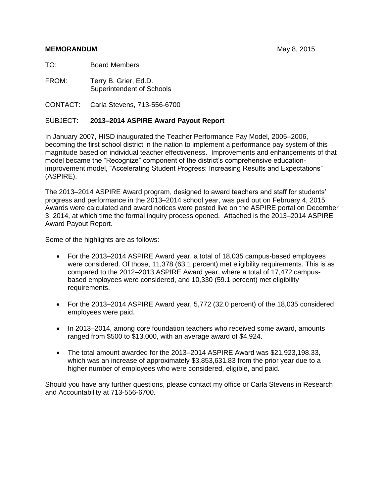#### **MEMORANDUM MEMORANDUM MEMORANDUM**

TO: Board Members

FROM:Terry B. Grier, Ed.D. Superintendent of Schools

CONTACT: Carla Stevens, 713-556-6700

#### SUBJECT: **2013–2014 ASPIRE Award Payout Report**

In January 2007, HISD inaugurated the Teacher Performance Pay Model, 2005–2006, becoming the first school district in the nation to implement a performance pay system of this magnitude based on individual teacher effectiveness. Improvements and enhancements of that model became the "Recognize" component of the district's comprehensive educationimprovement model, "Accelerating Student Progress: Increasing Results and Expectations" (ASPIRE).

The 2013–2014 ASPIRE Award program, designed to award teachers and staff for students' progress and performance in the 2013–2014 school year, was paid out on February 4, 2015. Awards were calculated and award notices were posted live on the ASPIRE portal on December 3, 2014, at which time the formal inquiry process opened. Attached is the 2013–2014 ASPIRE Award Payout Report.

Some of the highlights are as follows:

- For the 2013–2014 ASPIRE Award year, a total of 18,035 campus-based employees were considered. Of those, 11,378 (63.1 percent) met eligibility requirements. This is as compared to the 2012–2013 ASPIRE Award year, where a total of 17,472 campusbased employees were considered, and 10,330 (59.1 percent) met eligibility requirements.
- For the 2013–2014 ASPIRE Award year, 5,772 (32.0 percent) of the 18,035 considered employees were paid.
- In 2013–2014, among core foundation teachers who received some award, amounts ranged from \$500 to \$13,000, with an average award of \$4,924.
- The total amount awarded for the 2013–2014 ASPIRE Award was \$21,923,198.33, which was an increase of approximately \$3,853,631.83 from the prior year due to a higher number of employees who were considered, eligible, and paid.

Should you have any further questions, please contact my office or Carla Stevens in Research and Accountability at 713-556-6700.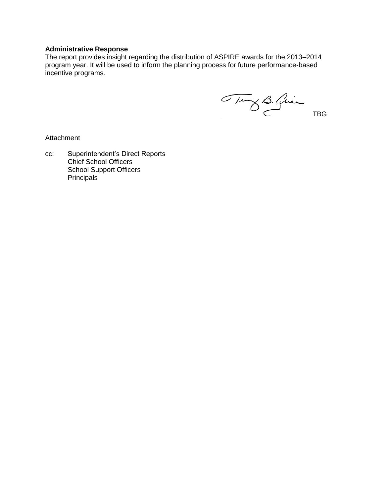#### **Administrative Response**

The report provides insight regarding the distribution of ASPIRE awards for the 2013–2014 program year. It will be used to inform the planning process for future performance-based incentive programs.

Tung B. Quien

Attachment

cc: Superintendent's Direct Reports Chief School Officers School Support Officers **Principals**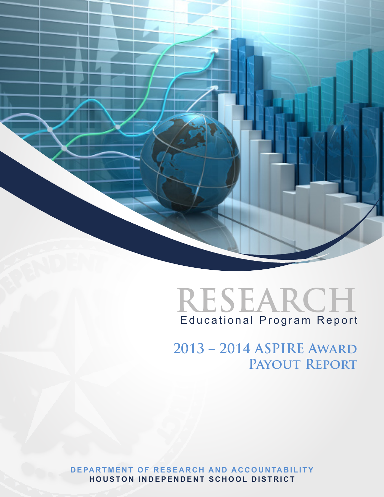



**2013 – 2014 ASPIRE Award Payout Report**

**DEPARTMENT OF RESEARCH AND ACCOUNTABILITY HOUSTON INDEPENDENT SCHOOL DISTRICT**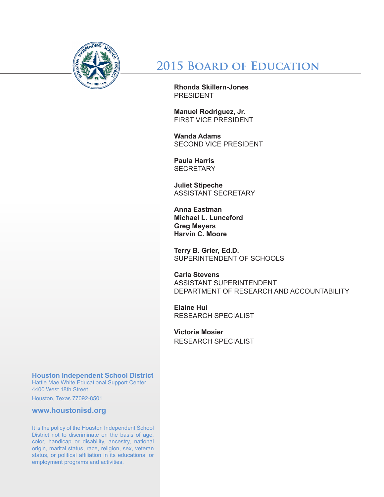

# **2015 Board of Education**

**Rhonda Skillern-Jones** PRESIDENT

**Manuel Rodriguez, Jr.** FIRST VICE PRESIDENT

**Wanda Adams** SECOND VICE PRESIDENT

**Paula Harris SECRETARY** 

**Juliet Stipeche** ASSISTANT SECRETARY

**Anna Eastman Michael L. Lunceford Greg Meyers Harvin C. Moore**

**Terry B. Grier, Ed.D.** SUPERINTENDENT OF SCHOOLS

**Carla Stevens** ASSISTANT SUPERINTENDENT DEPARTMENT OF RESEARCH AND ACCOUNTABILITY

**Elaine Hui** RESEARCH SPECIALIST

**Victoria Mosier** RESEARCH SPECIALIST

## **Houston Independent School District**

Hattie Mae White Educational Support Center 4400 West 18th Street

Houston, Texas 77092-8501

**www.houstonisd.org**

It is the policy of the Houston Independent School District not to discriminate on the basis of age, color, handicap or disability, ancestry, national origin, marital status, race, religion, sex, veteran status, or political affiliation in its educational or employment programs and activities.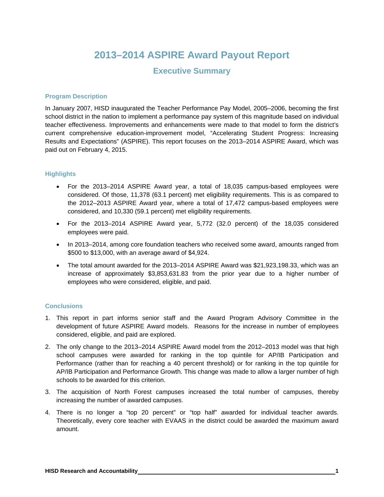## **2013–2014 ASPIRE Award Payout Report**

## **Executive Summary**

#### **Program Description**

In January 2007, HISD inaugurated the Teacher Performance Pay Model, 2005–2006, becoming the first school district in the nation to implement a performance pay system of this magnitude based on individual teacher effectiveness. Improvements and enhancements were made to that model to form the district's current comprehensive education-improvement model, "Accelerating Student Progress: Increasing Results and Expectations" (ASPIRE). This report focuses on the 2013–2014 ASPIRE Award, which was paid out on February 4, 2015.

#### **Highlights**

- For the 2013–2014 ASPIRE Award year, a total of 18,035 campus-based employees were considered. Of those, 11,378 (63.1 percent) met eligibility requirements. This is as compared to the 2012–2013 ASPIRE Award year, where a total of 17,472 campus-based employees were considered, and 10,330 (59.1 percent) met eligibility requirements.
- For the 2013–2014 ASPIRE Award year, 5,772 (32.0 percent) of the 18,035 considered employees were paid.
- In 2013–2014, among core foundation teachers who received some award, amounts ranged from \$500 to \$13,000, with an average award of \$4,924.
- The total amount awarded for the 2013–2014 ASPIRE Award was \$21,923,198.33, which was an increase of approximately \$3,853,631.83 from the prior year due to a higher number of employees who were considered, eligible, and paid.

#### **Conclusions**

- 1. This report in part informs senior staff and the Award Program Advisory Committee in the development of future ASPIRE Award models. Reasons for the increase in number of employees considered, eligible, and paid are explored.
- 2. The only change to the 2013–2014 ASPIRE Award model from the 2012–2013 model was that high school campuses were awarded for ranking in the top quintile for AP/IB Participation and Performance (rather than for reaching a 40 percent threshold) or for ranking in the top quintile for AP/IB Participation and Performance Growth. This change was made to allow a larger number of high schools to be awarded for this criterion.
- 3. The acquisition of North Forest campuses increased the total number of campuses, thereby increasing the number of awarded campuses.
- 4. There is no longer a "top 20 percent" or "top half" awarded for individual teacher awards. Theoretically, every core teacher with EVAAS in the district could be awarded the maximum award amount.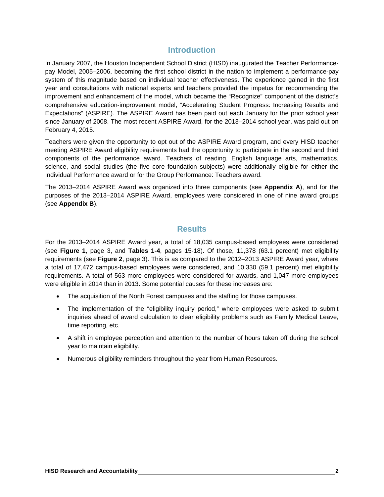## **Introduction**

In January 2007, the Houston Independent School District (HISD) inaugurated the Teacher Performancepay Model, 2005–2006, becoming the first school district in the nation to implement a performance-pay system of this magnitude based on individual teacher effectiveness. The experience gained in the first year and consultations with national experts and teachers provided the impetus for recommending the improvement and enhancement of the model, which became the "Recognize" component of the district's comprehensive education-improvement model, "Accelerating Student Progress: Increasing Results and Expectations" (ASPIRE). The ASPIRE Award has been paid out each January for the prior school year since January of 2008. The most recent ASPIRE Award, for the 2013–2014 school year, was paid out on February 4, 2015.

Teachers were given the opportunity to opt out of the ASPIRE Award program, and every HISD teacher meeting ASPIRE Award eligibility requirements had the opportunity to participate in the second and third components of the performance award. Teachers of reading, English language arts, mathematics, science, and social studies (the five core foundation subjects) were additionally eligible for either the Individual Performance award or for the Group Performance: Teachers award.

The 2013–2014 ASPIRE Award was organized into three components (see **Appendix A**), and for the purposes of the 2013–2014 ASPIRE Award, employees were considered in one of nine award groups (see **Appendix B**).

### **Results**

For the 2013–2014 ASPIRE Award year, a total of 18,035 campus-based employees were considered (see **Figure 1**, page 3, and **Tables 1-4**, pages 15-18). Of those, 11,378 (63.1 percent) met eligibility requirements (see **Figure 2**, page 3). This is as compared to the 2012–2013 ASPIRE Award year, where a total of 17,472 campus-based employees were considered, and 10,330 (59.1 percent) met eligibility requirements. A total of 563 more employees were considered for awards, and 1,047 more employees were eligible in 2014 than in 2013. Some potential causes for these increases are:

- The acquisition of the North Forest campuses and the staffing for those campuses.
- The implementation of the "eligibility inquiry period," where employees were asked to submit inquiries ahead of award calculation to clear eligibility problems such as Family Medical Leave, time reporting, etc.
- A shift in employee perception and attention to the number of hours taken off during the school year to maintain eligibility.
- Numerous eligibility reminders throughout the year from Human Resources.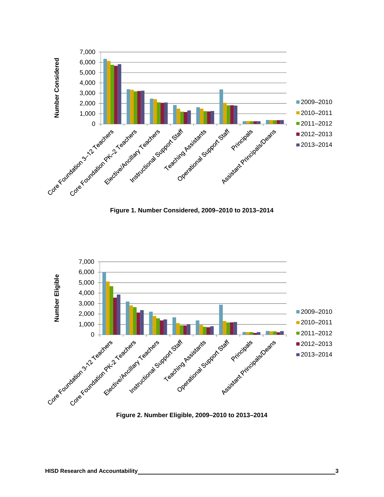

**Figure 1. Number Considered, 2009–2010 to 2013–2014** 



**Figure 2. Number Eligible, 2009–2010 to 2013–2014**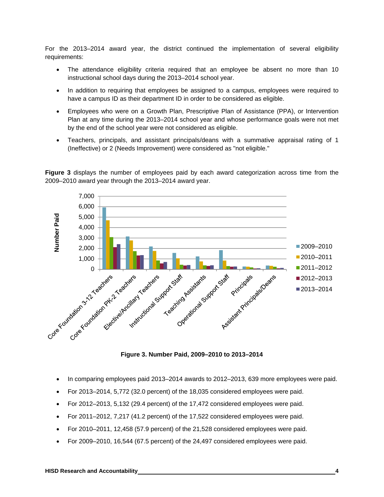For the 2013–2014 award year, the district continued the implementation of several eligibility requirements:

- The attendance eligibility criteria required that an employee be absent no more than 10 instructional school days during the 2013–2014 school year.
- In addition to requiring that employees be assigned to a campus, employees were required to have a campus ID as their department ID in order to be considered as eligible.
- Employees who were on a Growth Plan, Prescriptive Plan of Assistance (PPA), or Intervention Plan at any time during the 2013–2014 school year and whose performance goals were not met by the end of the school year were not considered as eligible.
- Teachers, principals, and assistant principals/deans with a summative appraisal rating of 1 (Ineffective) or 2 (Needs Improvement) were considered as "not eligible."

**Figure 3** displays the number of employees paid by each award categorization across time from the 2009–2010 award year through the 2013–2014 award year.



**Figure 3. Number Paid, 2009–2010 to 2013–2014** 

- In comparing employees paid 2013–2014 awards to 2012–2013, 639 more employees were paid.
- For 2013–2014, 5,772 (32.0 percent) of the 18,035 considered employees were paid.
- For 2012–2013, 5,132 (29.4 percent) of the 17,472 considered employees were paid.
- For 2011–2012, 7,217 (41.2 percent) of the 17,522 considered employees were paid.
- For 2010–2011, 12,458 (57.9 percent) of the 21,528 considered employees were paid.
- For 2009–2010, 16,544 (67.5 percent) of the 24,497 considered employees were paid.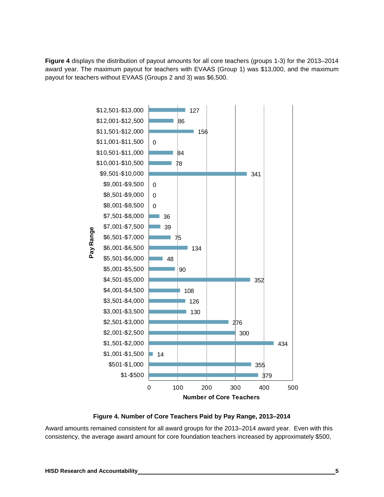**Figure 4** displays the distribution of payout amounts for all core teachers (groups 1-3) for the 2013–2014 award year. The maximum payout for teachers with EVAAS (Group 1) was \$13,000, and the maximum payout for teachers without EVAAS (Groups 2 and 3) was \$6,500.



**Figure 4. Number of Core Teachers Paid by Pay Range, 2013–2014** 

Award amounts remained consistent for all award groups for the 2013–2014 award year. Even with this consistency, the average award amount for core foundation teachers increased by approximately \$500,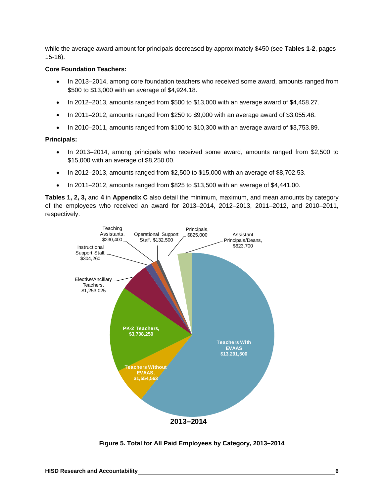while the average award amount for principals decreased by approximately \$450 (see **Tables 1-2**, pages 15-16).

#### **Core Foundation Teachers:**

- In 2013–2014, among core foundation teachers who received some award, amounts ranged from \$500 to \$13,000 with an average of \$4,924.18.
- $\bullet$  In 2012–2013, amounts ranged from \$500 to \$13,000 with an average award of \$4,458.27.
- $\bullet$  In 2011–2012, amounts ranged from \$250 to \$9,000 with an average award of \$3,055.48.
- $\bullet$  In 2010–2011, amounts ranged from \$100 to \$10,300 with an average award of \$3,753.89.

#### **Principals:**

- In 2013–2014, among principals who received some award, amounts ranged from \$2,500 to \$15,000 with an average of \$8,250.00.
- $\bullet$  In 2012–2013, amounts ranged from \$2,500 to \$15,000 with an average of \$8,702.53.
- $\bullet$  In 2011–2012, amounts ranged from \$825 to \$13,500 with an average of \$4,441.00.

**Tables 1, 2, 3,** and **4** in **Appendix C** also detail the minimum, maximum, and mean amounts by category of the employees who received an award for 2013–2014, 2012–2013, 2011–2012, and 2010–2011, respectively.



**Figure 5. Total for All Paid Employees by Category, 2013–2014**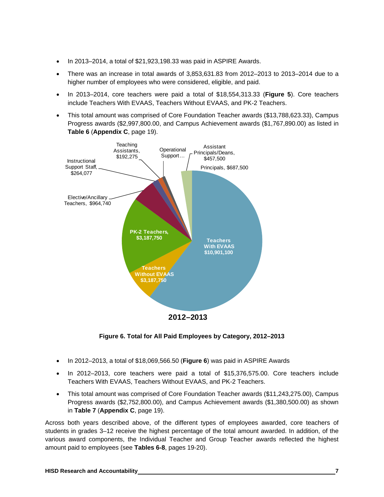- In 2013–2014, a total of \$21,923,198.33 was paid in ASPIRE Awards.
- There was an increase in total awards of 3,853,631.83 from 2012–2013 to 2013–2014 due to a higher number of employees who were considered, eligible, and paid.
- In 2013–2014, core teachers were paid a total of \$18,554,313.33 (**Figure 5**). Core teachers include Teachers With EVAAS, Teachers Without EVAAS, and PK-2 Teachers.
- This total amount was comprised of Core Foundation Teacher awards (\$13,788,623.33), Campus Progress awards (\$2,997,800.00, and Campus Achievement awards (\$1,767,890.00) as listed in **Table 6** (**Appendix C**, page 19).



**Figure 6. Total for All Paid Employees by Category, 2012–2013** 

- In 2012–2013, a total of \$18,069,566.50 (**Figure 6**) was paid in ASPIRE Awards
- In 2012–2013, core teachers were paid a total of \$15,376,575.00. Core teachers include Teachers With EVAAS, Teachers Without EVAAS, and PK-2 Teachers.
- This total amount was comprised of Core Foundation Teacher awards (\$11,243,275.00), Campus Progress awards (\$2,752,800.00), and Campus Achievement awards (\$1,380,500.00) as shown in **Table 7** (**Appendix C**, page 19).

Across both years described above, of the different types of employees awarded, core teachers of students in grades 3–12 receive the highest percentage of the total amount awarded. In addition, of the various award components, the Individual Teacher and Group Teacher awards reflected the highest amount paid to employees (see **Tables 6-8**, pages 19-20).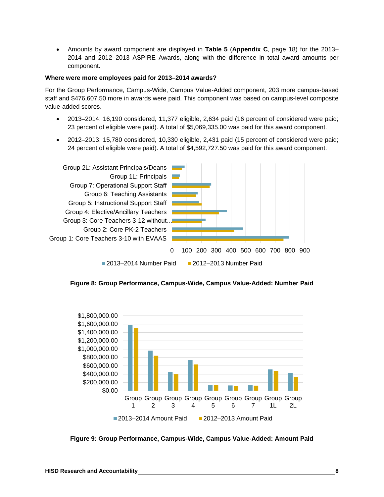Amounts by award component are displayed in **Table 5** (**Appendix C**, page 18) for the 2013– 2014 and 2012–2013 ASPIRE Awards, along with the difference in total award amounts per component.

#### **Where were more employees paid for 2013–2014 awards?**

For the Group Performance, Campus-Wide, Campus Value-Added component, 203 more campus-based staff and \$476,607.50 more in awards were paid. This component was based on campus-level composite value-added scores.

- 2013–2014: 16,190 considered, 11,377 eligible, 2,634 paid (16 percent of considered were paid; 23 percent of eligible were paid). A total of \$5,069,335.00 was paid for this award component.
- 2012–2013: 15,780 considered, 10,330 eligible, 2,431 paid (15 percent of considered were paid; 24 percent of eligible were paid). A total of \$4,592,727.50 was paid for this award component.







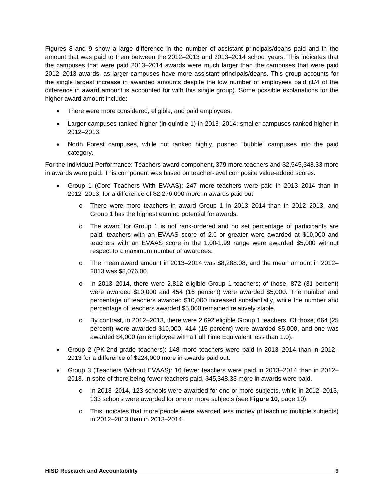Figures 8 and 9 show a large difference in the number of assistant principals/deans paid and in the amount that was paid to them between the 2012–2013 and 2013–2014 school years. This indicates that the campuses that were paid 2013–2014 awards were much larger than the campuses that were paid 2012–2013 awards, as larger campuses have more assistant principals/deans. This group accounts for the single largest increase in awarded amounts despite the low number of employees paid (1/4 of the difference in award amount is accounted for with this single group). Some possible explanations for the higher award amount include:

- There were more considered, eligible, and paid employees.
- Larger campuses ranked higher (in quintile 1) in 2013–2014; smaller campuses ranked higher in 2012–2013.
- North Forest campuses, while not ranked highly, pushed "bubble" campuses into the paid category.

For the Individual Performance: Teachers award component, 379 more teachers and \$2,545,348.33 more in awards were paid. This component was based on teacher-level composite value-added scores.

- Group 1 (Core Teachers With EVAAS): 247 more teachers were paid in 2013–2014 than in 2012–2013, for a difference of \$2,276,000 more in awards paid out.
	- o There were more teachers in award Group 1 in 2013–2014 than in 2012–2013, and Group 1 has the highest earning potential for awards.
	- o The award for Group 1 is not rank-ordered and no set percentage of participants are paid; teachers with an EVAAS score of 2.0 or greater were awarded at \$10,000 and teachers with an EVAAS score in the 1.00-1.99 range were awarded \$5,000 without respect to a maximum number of awardees.
	- $\circ$  The mean award amount in 2013–2014 was \$8,288.08, and the mean amount in 2012– 2013 was \$8,076.00.
	- o In 2013–2014, there were 2,812 eligible Group 1 teachers; of those, 872 (31 percent) were awarded \$10,000 and 454 (16 percent) were awarded \$5,000. The number and percentage of teachers awarded \$10,000 increased substantially, while the number and percentage of teachers awarded \$5,000 remained relatively stable.
	- o By contrast, in 2012–2013, there were 2,692 eligible Group 1 teachers. Of those, 664 (25 percent) were awarded \$10,000, 414 (15 percent) were awarded \$5,000, and one was awarded \$4,000 (an employee with a Full Time Equivalent less than 1.0).
- Group 2 (PK-2nd grade teachers): 148 more teachers were paid in 2013–2014 than in 2012– 2013 for a difference of \$224,000 more in awards paid out.
- Group 3 (Teachers Without EVAAS): 16 fewer teachers were paid in 2013–2014 than in 2012– 2013. In spite of there being fewer teachers paid, \$45,348.33 more in awards were paid.
	- o In 2013–2014, 123 schools were awarded for one or more subjects, while in 2012–2013, 133 schools were awarded for one or more subjects (see **Figure 10**, page 10).
	- o This indicates that more people were awarded less money (if teaching multiple subjects) in 2012–2013 than in 2013–2014.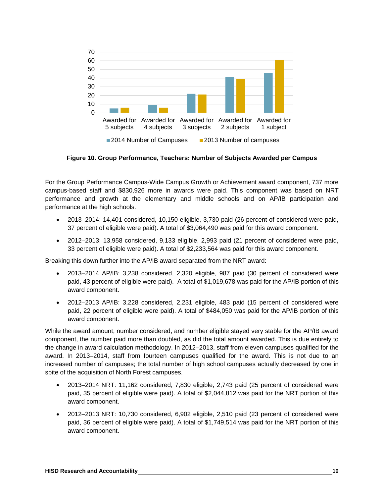

**Figure 10. Group Performance, Teachers: Number of Subjects Awarded per Campus** 

For the Group Performance Campus-Wide Campus Growth or Achievement award component, 737 more campus-based staff and \$830,926 more in awards were paid. This component was based on NRT performance and growth at the elementary and middle schools and on AP/IB participation and performance at the high schools.

- 2013–2014: 14,401 considered, 10,150 eligible, 3,730 paid (26 percent of considered were paid, 37 percent of eligible were paid). A total of \$3,064,490 was paid for this award component.
- 2012–2013: 13,958 considered, 9,133 eligible, 2,993 paid (21 percent of considered were paid, 33 percent of eligible were paid). A total of \$2,233,564 was paid for this award component.

Breaking this down further into the AP/IB award separated from the NRT award:

- 2013–2014 AP/IB: 3,238 considered, 2,320 eligible, 987 paid (30 percent of considered were paid, 43 percent of eligible were paid). A total of \$1,019,678 was paid for the AP/IB portion of this award component.
- 2012–2013 AP/IB: 3,228 considered, 2,231 eligible, 483 paid (15 percent of considered were paid, 22 percent of eligible were paid). A total of \$484,050 was paid for the AP/IB portion of this award component.

While the award amount, number considered, and number eligible stayed very stable for the AP/IB award component, the number paid more than doubled, as did the total amount awarded. This is due entirely to the change in award calculation methodology. In 2012–2013, staff from eleven campuses qualified for the award. In 2013–2014, staff from fourteen campuses qualified for the award. This is not due to an increased number of campuses; the total number of high school campuses actually decreased by one in spite of the acquisition of North Forest campuses.

- 2013–2014 NRT: 11,162 considered, 7,830 eligible, 2,743 paid (25 percent of considered were paid, 35 percent of eligible were paid). A total of \$2,044,812 was paid for the NRT portion of this award component.
- 2012–2013 NRT: 10,730 considered, 6,902 eligible, 2,510 paid (23 percent of considered were paid, 36 percent of eligible were paid). A total of \$1,749,514 was paid for the NRT portion of this award component.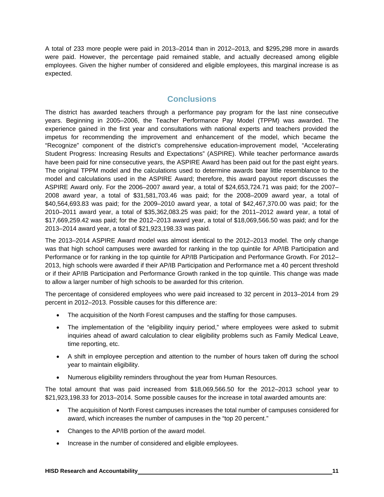A total of 233 more people were paid in 2013–2014 than in 2012–2013, and \$295,298 more in awards were paid. However, the percentage paid remained stable, and actually decreased among eligible employees. Given the higher number of considered and eligible employees, this marginal increase is as expected.

## **Conclusions**

The district has awarded teachers through a performance pay program for the last nine consecutive years. Beginning in 2005–2006, the Teacher Performance Pay Model (TPPM) was awarded. The experience gained in the first year and consultations with national experts and teachers provided the impetus for recommending the improvement and enhancement of the model, which became the "Recognize" component of the district's comprehensive education-improvement model, "Accelerating Student Progress: Increasing Results and Expectations" (ASPIRE). While teacher performance awards have been paid for nine consecutive years, the ASPIRE Award has been paid out for the past eight years. The original TPPM model and the calculations used to determine awards bear little resemblance to the model and calculations used in the ASPIRE Award; therefore, this award payout report discusses the ASPIRE Award only. For the 2006–2007 award year, a total of \$24,653,724.71 was paid; for the 2007– 2008 award year, a total of \$31,581,703.46 was paid; for the 2008–2009 award year, a total of \$40,564,693.83 was paid; for the 2009–2010 award year, a total of \$42,467,370.00 was paid; for the 2010–2011 award year, a total of \$35,362,083.25 was paid; for the 2011–2012 award year, a total of \$17,669,259.42 was paid; for the 2012–2013 award year, a total of \$18,069,566.50 was paid; and for the 2013–2014 award year, a total of \$21,923,198.33 was paid.

The 2013–2014 ASPIRE Award model was almost identical to the 2012–2013 model. The only change was that high school campuses were awarded for ranking in the top quintile for AP/IB Participation and Performance or for ranking in the top quintile for AP/IB Participation and Performance Growth. For 2012– 2013, high schools were awarded if their AP/IB Participation and Performance met a 40 percent threshold or if their AP/IB Participation and Performance Growth ranked in the top quintile. This change was made to allow a larger number of high schools to be awarded for this criterion.

The percentage of considered employees who were paid increased to 32 percent in 2013–2014 from 29 percent in 2012–2013. Possible causes for this difference are:

- The acquisition of the North Forest campuses and the staffing for those campuses.
- The implementation of the "eligibility inquiry period," where employees were asked to submit inquiries ahead of award calculation to clear eligibility problems such as Family Medical Leave, time reporting, etc.
- A shift in employee perception and attention to the number of hours taken off during the school year to maintain eligibility.
- Numerous eligibility reminders throughout the year from Human Resources.

The total amount that was paid increased from \$18,069,566.50 for the 2012–2013 school year to \$21,923,198.33 for 2013–2014. Some possible causes for the increase in total awarded amounts are:

- The acquisition of North Forest campuses increases the total number of campuses considered for award, which increases the number of campuses in the "top 20 percent."
- Changes to the AP/IB portion of the award model.
- Increase in the number of considered and eligible employees.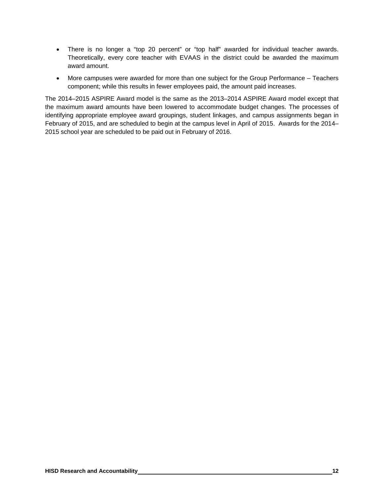- There is no longer a "top 20 percent" or "top half" awarded for individual teacher awards. Theoretically, every core teacher with EVAAS in the district could be awarded the maximum award amount.
- More campuses were awarded for more than one subject for the Group Performance Teachers component; while this results in fewer employees paid, the amount paid increases.

The 2014–2015 ASPIRE Award model is the same as the 2013–2014 ASPIRE Award model except that the maximum award amounts have been lowered to accommodate budget changes. The processes of identifying appropriate employee award groupings, student linkages, and campus assignments began in February of 2015, and are scheduled to begin at the campus level in April of 2015. Awards for the 2014– 2015 school year are scheduled to be paid out in February of 2016.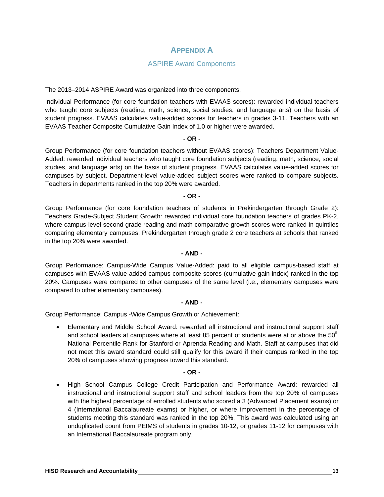## **APPENDIX A**

#### ASPIRE Award Components

The 2013–2014 ASPIRE Award was organized into three components.

Individual Performance (for core foundation teachers with EVAAS scores): rewarded individual teachers who taught core subjects (reading, math, science, social studies, and language arts) on the basis of student progress. EVAAS calculates value-added scores for teachers in grades 3-11. Teachers with an EVAAS Teacher Composite Cumulative Gain Index of 1.0 or higher were awarded.

#### **- OR -**

Group Performance (for core foundation teachers without EVAAS scores): Teachers Department Value-Added: rewarded individual teachers who taught core foundation subjects (reading, math, science, social studies, and language arts) on the basis of student progress. EVAAS calculates value-added scores for campuses by subject. Department-level value-added subject scores were ranked to compare subjects. Teachers in departments ranked in the top 20% were awarded.

**- OR -** 

Group Performance (for core foundation teachers of students in Prekindergarten through Grade 2): Teachers Grade-Subject Student Growth: rewarded individual core foundation teachers of grades PK-2, where campus-level second grade reading and math comparative growth scores were ranked in quintiles comparing elementary campuses. Prekindergarten through grade 2 core teachers at schools that ranked in the top 20% were awarded.

#### **- AND -**

Group Performance: Campus-Wide Campus Value-Added: paid to all eligible campus-based staff at campuses with EVAAS value-added campus composite scores (cumulative gain index) ranked in the top 20%. Campuses were compared to other campuses of the same level (i.e., elementary campuses were compared to other elementary campuses).

#### **- AND -**

Group Performance: Campus -Wide Campus Growth or Achievement:

 Elementary and Middle School Award: rewarded all instructional and instructional support staff and school leaders at campuses where at least 85 percent of students were at or above the  $50<sup>th</sup>$ National Percentile Rank for Stanford or Aprenda Reading and Math. Staff at campuses that did not meet this award standard could still qualify for this award if their campus ranked in the top 20% of campuses showing progress toward this standard.

#### **- OR -**

 High School Campus College Credit Participation and Performance Award: rewarded all instructional and instructional support staff and school leaders from the top 20% of campuses with the highest percentage of enrolled students who scored a 3 (Advanced Placement exams) or 4 (International Baccalaureate exams) or higher, or where improvement in the percentage of students meeting this standard was ranked in the top 20%. This award was calculated using an unduplicated count from PEIMS of students in grades 10-12, or grades 11-12 for campuses with an International Baccalaureate program only.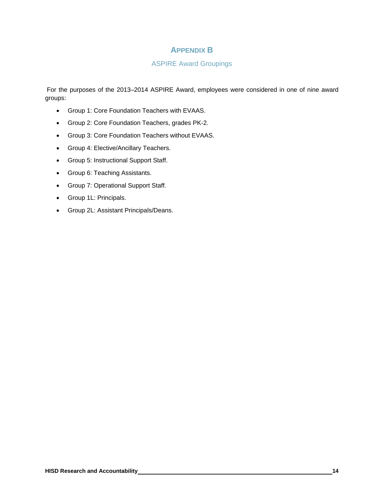## **APPENDIX B**

#### ASPIRE Award Groupings

 For the purposes of the 2013–2014 ASPIRE Award, employees were considered in one of nine award groups:

- Group 1: Core Foundation Teachers with EVAAS.
- Group 2: Core Foundation Teachers, grades PK-2.
- Group 3: Core Foundation Teachers without EVAAS.
- **•** Group 4: Elective/Ancillary Teachers.
- Group 5: Instructional Support Staff.
- Group 6: Teaching Assistants.
- Group 7: Operational Support Staff.
- Group 1L: Principals.
- Group 2L: Assistant Principals/Deans.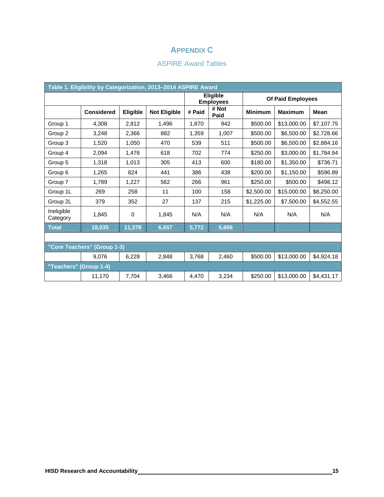## **APPENDIX C**

## ASPIRE Award Tables

| Table 1. Eligibility by Categorization, 2013-2014 ASPIRE Award |                   |          |                     |                              |                   |                |                |             |
|----------------------------------------------------------------|-------------------|----------|---------------------|------------------------------|-------------------|----------------|----------------|-------------|
|                                                                |                   |          |                     | Eligible<br><b>Employees</b> | Of Paid Employees |                |                |             |
|                                                                | <b>Considered</b> | Eligible | <b>Not Eligible</b> | # Paid                       | # Not<br>Paid     | <b>Minimum</b> | <b>Maximum</b> | <b>Mean</b> |
| Group 1                                                        | 4.308             | 2,812    | 1,496               | 1,870                        | 942               | \$500.00       | \$13,000.00    | \$7,107.75  |
| Group 2                                                        | 3,248             | 2,366    | 882                 | 1,359                        | 1,007             | \$500.00       | \$6,500.00     | \$2,728.66  |
| Group 3                                                        | 1.520             | 1.050    | 470                 | 539                          | 511               | \$500.00       | \$6,500.00     | \$2,884.16  |
| Group 4                                                        | 2.094             | 1,476    | 618                 | 702                          | 774               | \$250.00       | \$3,000.00     | \$1,784.94  |
| Group 5                                                        | 1,318             | 1,013    | 305                 | 413                          | 600               | \$180.00       | \$1,350.00     | \$736.71    |
| Group 6                                                        | 1,265             | 824      | 441                 | 386                          | 438               | \$200.00       | \$1,150.00     | \$596.89    |
| Group 7                                                        | 1,789             | 1,227    | 562                 | 266                          | 961               | \$250.00       | \$500.00       | \$498.12    |
| Group 1L                                                       | 269               | 258      | 11                  | 100                          | 158               | \$2,500.00     | \$15,000.00    | \$8,250.00  |
| Group 2L                                                       | 379               | 352      | 27                  | 137                          | 215               | \$1,225.00     | \$7,500.00     | \$4,552.55  |
| Ineligible<br>Category                                         | 1.845             | 0        | 1.845               | N/A                          | N/A               | N/A            | N/A            | N/A         |
| <b>Total</b>                                                   | 18,035            | 11,378   | 6,657               | 5,772                        | 5,606             |                |                |             |
|                                                                |                   |          |                     |                              |                   |                |                |             |
| "Core Teachers" (Group 1-3)                                    |                   |          |                     |                              |                   |                |                |             |
|                                                                | 9,076             | 6,228    | 2,848               | 3,768                        | 2,460             | \$500.00       | \$13,000.00    | \$4,924.18  |
| "Teachers" (Group 1-4)                                         |                   |          |                     |                              |                   |                |                |             |
|                                                                | 11,170            | 7,704    | 3,466               | 4,470                        | 3,234             | \$250.00       | \$13,000.00    | \$4,431.17  |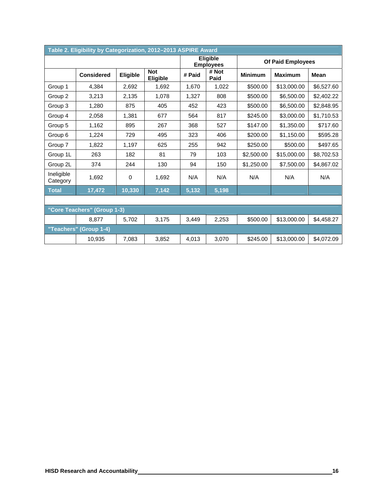| Table 2. Eligibility by Categorization, 2012-2013 ASPIRE Award |                   |          |                               |        |                                     |                |                   |             |
|----------------------------------------------------------------|-------------------|----------|-------------------------------|--------|-------------------------------------|----------------|-------------------|-------------|
|                                                                |                   |          |                               |        | <b>Eligible</b><br><b>Employees</b> |                | Of Paid Employees |             |
|                                                                | <b>Considered</b> | Eligible | <b>Not</b><br><b>Eligible</b> | # Paid | # Not<br>Paid                       | <b>Minimum</b> | <b>Maximum</b>    | <b>Mean</b> |
| Group 1                                                        | 4,384             | 2,692    | 1,692                         | 1,670  | 1,022                               | \$500.00       | \$13,000.00       | \$6,527.60  |
| Group 2                                                        | 3,213             | 2,135    | 1,078                         | 1,327  | 808                                 | \$500.00       | \$6,500.00        | \$2,402.22  |
| Group 3                                                        | 1,280             | 875      | 405                           | 452    | 423                                 | \$500.00       | \$6,500.00        | \$2,848.95  |
| Group 4                                                        | 2,058             | 1.381    | 677                           | 564    | 817                                 | \$245.00       | \$3,000.00        | \$1,710.53  |
| Group 5                                                        | 1,162             | 895      | 267                           | 368    | 527                                 | \$147.00       | \$1,350.00        | \$717.60    |
| Group 6                                                        | 1,224             | 729      | 495                           | 323    | 406                                 | \$200.00       | \$1,150.00        | \$595.28    |
| Group 7                                                        | 1,822             | 1,197    | 625                           | 255    | 942                                 | \$250.00       | \$500.00          | \$497.65    |
| Group 1L                                                       | 263               | 182      | 81                            | 79     | 103                                 | \$2,500.00     | \$15,000.00       | \$8,702.53  |
| Group 2L                                                       | 374               | 244      | 130                           | 94     | 150                                 | \$1,250.00     | \$7,500.00        | \$4,867.02  |
| Ineligible<br>Category                                         | 1.692             | 0        | 1,692                         | N/A    | N/A                                 | N/A            | N/A               | N/A         |
| <b>Total</b>                                                   | 17,472            | 10,330   | 7,142                         | 5,132  | 5,198                               |                |                   |             |
|                                                                |                   |          |                               |        |                                     |                |                   |             |
| "Core Teachers" (Group 1-3)                                    |                   |          |                               |        |                                     |                |                   |             |
|                                                                | 8,877             | 5,702    | 3,175                         | 3,449  | 2,253                               | \$500.00       | \$13,000.00       | \$4,458.27  |
| "Teachers"                                                     | (Group 1-4)       |          |                               |        |                                     |                |                   |             |
|                                                                | 10.935            | 7.083    | 3.852                         | 4.013  | 3.070                               | \$245.00       | \$13,000.00       | \$4,072.09  |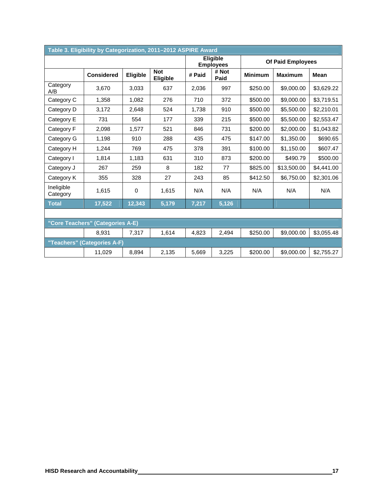| Table 3. Eligibility by Categorization, 2011-2012 ASPIRE Award |                             |          |                        |        |                              |                                  |             |             |
|----------------------------------------------------------------|-----------------------------|----------|------------------------|--------|------------------------------|----------------------------------|-------------|-------------|
|                                                                |                             |          |                        |        | Eligible<br><b>Employees</b> | Of Paid Employees                |             |             |
|                                                                | <b>Considered</b>           | Eligible | <b>Not</b><br>Eligible | # Paid | # Not<br>Paid                | <b>Minimum</b><br><b>Maximum</b> |             | <b>Mean</b> |
| Category<br>A/B                                                | 3.670                       | 3,033    | 637                    | 2,036  | 997                          | \$250.00                         | \$9,000.00  | \$3,629.22  |
| Category C                                                     | 1,358                       | 1,082    | 276                    | 710    | 372                          | \$500.00                         | \$9,000.00  | \$3,719.51  |
| Category D                                                     | 3,172                       | 2,648    | 524                    | 1,738  | 910                          | \$500.00                         | \$5,500.00  | \$2,210.01  |
| Category E                                                     | 731                         | 554      | 177                    | 339    | 215                          | \$500.00                         | \$5,500.00  | \$2,553.47  |
| Category F                                                     | 2.098                       | 1.577    | 521                    | 846    | 731                          | \$200.00                         | \$2,000.00  | \$1,043.82  |
| Category G                                                     | 1,198                       | 910      | 288                    | 435    | 475                          | \$147.00                         | \$1,350.00  | \$690.65    |
| Category H                                                     | 1,244                       | 769      | 475                    | 378    | 391                          | \$100.00                         | \$1,150.00  | \$607.47    |
| Category I                                                     | 1,814                       | 1,183    | 631                    | 310    | 873                          | \$200.00                         | \$490.79    | \$500.00    |
| Category J                                                     | 267                         | 259      | 8                      | 182    | 77                           | \$825.00                         | \$13,500.00 | \$4,441.00  |
| Category K                                                     | 355                         | 328      | 27                     | 243    | 85                           | \$412.50                         | \$6,750.00  | \$2,301.06  |
| Ineligible<br>Category                                         | 1,615                       | 0        | 1,615                  | N/A    | N/A                          | N/A                              | N/A         | N/A         |
| <b>Total</b>                                                   | 17,522                      | 12,343   | 5,179                  | 7,217  | 5,126                        |                                  |             |             |
|                                                                |                             |          |                        |        |                              |                                  |             |             |
| "Core Teachers" (Categories A-E)                               |                             |          |                        |        |                              |                                  |             |             |
|                                                                | 8,931                       | 7,317    | 1,614                  | 4,823  | 2,494                        | \$250.00                         | \$9,000.00  | \$3,055.48  |
|                                                                | "Teachers" (Categories A-F) |          |                        |        |                              |                                  |             |             |
|                                                                | 11,029                      | 8,894    | 2,135                  | 5,669  | 3,225                        | \$200.00                         | \$9,000.00  | \$2,755.27  |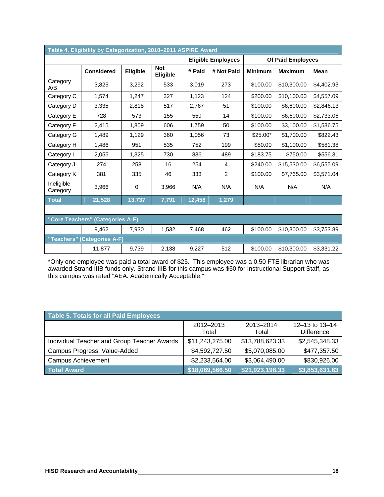| Table 4. Eligibility by Categorization, 2010-2011 ASPIRE Award |                             |          |                               |        |                                                |                |                |             |
|----------------------------------------------------------------|-----------------------------|----------|-------------------------------|--------|------------------------------------------------|----------------|----------------|-------------|
|                                                                |                             |          |                               |        | Of Paid Employees<br><b>Eligible Employees</b> |                |                |             |
|                                                                | <b>Considered</b>           | Eligible | <b>Not</b><br><b>Eligible</b> | # Paid | # Not Paid                                     | <b>Minimum</b> | <b>Maximum</b> | <b>Mean</b> |
| Category<br>A/B                                                | 3,825                       | 3,292    | 533                           | 3,019  | 273                                            | \$100.00       | \$10,300.00    | \$4,402.93  |
| Category C                                                     | 1,574                       | 1,247    | 327                           | 1,123  | 124                                            | \$200.00       | \$10,100.00    | \$4,557.09  |
| Category D                                                     | 3,335                       | 2,818    | 517                           | 2,767  | 51                                             | \$100.00       | \$6,600.00     | \$2,846.13  |
| Category E                                                     | 728                         | 573      | 155                           | 559    | 14                                             | \$100.00       | \$6,600.00     | \$2,733.06  |
| Category F                                                     | 2,415                       | 1,809    | 606                           | 1,759  | 50                                             | \$100.00       | \$3,100.00     | \$1,536.75  |
| Category G                                                     | 1,489                       | 1,129    | 360                           | 1,056  | 73                                             | $$25.00*$      | \$1,700.00     | \$822.43    |
| Category H                                                     | 1,486                       | 951      | 535                           | 752    | 199                                            | \$50.00        | \$1,100.00     | \$581.38    |
| Category I                                                     | 2,055                       | 1,325    | 730                           | 836    | 489                                            | \$183.75       | \$750.00       | \$556.31    |
| Category J                                                     | 274                         | 258      | 16                            | 254    | 4                                              | \$240.00       | \$15,530.00    | \$6,555.09  |
| Category K                                                     | 381                         | 335      | 46                            | 333    | 2                                              | \$100.00       | \$7,765.00     | \$3,571.04  |
| Ineligible<br>Category                                         | 3,966                       | 0        | 3.966                         | N/A    | N/A                                            | N/A            | N/A            | N/A         |
| <b>Total</b>                                                   | 21,528                      | 13,737   | 7,791                         | 12,458 | 1,279                                          |                |                |             |
|                                                                |                             |          |                               |        |                                                |                |                |             |
| "Core Teachers" (Categories A-E)                               |                             |          |                               |        |                                                |                |                |             |
|                                                                | 9.462                       | 7.930    | 1,532                         | 7,468  | 462                                            | \$100.00       | \$10,300.00    | \$3,753.89  |
|                                                                | "Teachers" (Categories A-F) |          |                               |        |                                                |                |                |             |
|                                                                | 11,877                      | 9,739    | 2,138                         | 9,227  | 512                                            | \$100.00       | \$10,300.00    | \$3,331.22  |

\*Only one employee was paid a total award of \$25. This employee was a 0.50 FTE librarian who was awarded Strand IIIB funds only. Strand IIIB for this campus was \$50 for Instructional Support Staff, as this campus was rated "AEA: Academically Acceptable."

| Table 5. Totals for all Paid Employees      |                    |                    |                                     |  |  |  |  |  |
|---------------------------------------------|--------------------|--------------------|-------------------------------------|--|--|--|--|--|
|                                             | 2012-2013<br>Total | 2013-2014<br>Total | 12-13 to 13-14<br><b>Difference</b> |  |  |  |  |  |
| Individual Teacher and Group Teacher Awards | \$11,243,275.00    | \$13,788,623.33    | \$2,545,348.33                      |  |  |  |  |  |
| Campus Progress: Value-Added                | \$4,592,727.50     | \$5,070,085.00     | \$477,357.50                        |  |  |  |  |  |
| <b>Campus Achievement</b>                   | \$2,233,564.00     | \$3,064,490.00     | \$830,926.00                        |  |  |  |  |  |
| <b>Total Award</b>                          | \$18,069,566.50    | \$21,923,198.33    | \$3,853,631.83                      |  |  |  |  |  |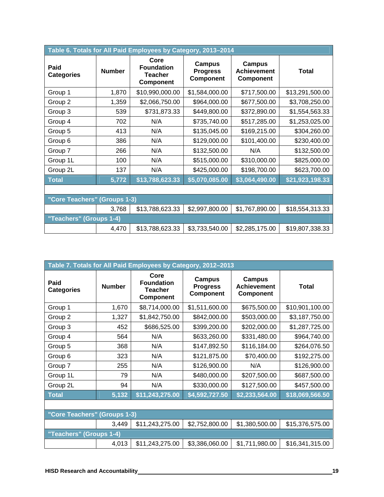| Table 6. Totals for All Paid Employees by Category, 2013-2014 |               |                                                          |                                               |                                                  |                 |  |  |  |
|---------------------------------------------------------------|---------------|----------------------------------------------------------|-----------------------------------------------|--------------------------------------------------|-----------------|--|--|--|
| Paid<br><b>Categories</b>                                     | <b>Number</b> | Core<br><b>Foundation</b><br><b>Teacher</b><br>Component | <b>Campus</b><br><b>Progress</b><br>Component | <b>Campus</b><br><b>Achievement</b><br>Component | <b>Total</b>    |  |  |  |
| Group 1                                                       | 1,870         | \$10,990,000.00                                          | \$1,584,000.00                                | \$717,500.00                                     | \$13,291,500.00 |  |  |  |
| Group 2                                                       | 1,359         | \$2,066,750.00                                           | \$964,000.00                                  | \$677,500.00                                     | \$3,708,250.00  |  |  |  |
| Group 3                                                       | 539           | \$731,873.33                                             | \$449,800.00                                  | \$372,890.00                                     | \$1,554,563.33  |  |  |  |
| Group 4                                                       | 702           | N/A                                                      | \$735,740.00                                  | \$517,285.00                                     | \$1,253,025.00  |  |  |  |
| Group 5                                                       | 413           | N/A                                                      | \$135,045.00                                  | \$169,215.00                                     | \$304,260.00    |  |  |  |
| Group 6                                                       | 386           | N/A                                                      | \$129,000.00                                  | \$101,400.00                                     | \$230,400.00    |  |  |  |
| Group 7                                                       | 266           | N/A                                                      | \$132,500.00                                  | N/A                                              | \$132,500.00    |  |  |  |
| Group 1L                                                      | 100           | N/A                                                      | \$515,000.00                                  | \$310,000.00                                     | \$825,000.00    |  |  |  |
| Group 2L                                                      | 137           | N/A                                                      | \$425,000.00                                  | \$198,700.00                                     | \$623,700.00    |  |  |  |
| <b>Total</b>                                                  | 5,772         | \$13,788,623.33                                          | \$5,070,085.00                                | \$3,064,490.00                                   | \$21,923,198.33 |  |  |  |
|                                                               |               |                                                          |                                               |                                                  |                 |  |  |  |
| "Core Teachers" (Groups 1-3)                                  |               |                                                          |                                               |                                                  |                 |  |  |  |
|                                                               | 3,768         | \$13,788,623.33                                          | \$2,997,800.00                                | \$1,767,890.00                                   | \$18,554,313.33 |  |  |  |
| "Teachers" (Groups 1-4)                                       |               |                                                          |                                               |                                                  |                 |  |  |  |
|                                                               | 4,470         | \$13,788,623.33                                          | \$3,733,540.00                                | \$2,285,175.00                                   | \$19,807,338.33 |  |  |  |

| Table 7. Totals for All Paid Employees by Category, 2012-2013 |               |                                                          |                                               |                                                  |                 |  |  |  |
|---------------------------------------------------------------|---------------|----------------------------------------------------------|-----------------------------------------------|--------------------------------------------------|-----------------|--|--|--|
| Paid<br><b>Categories</b>                                     | <b>Number</b> | Core<br><b>Foundation</b><br><b>Teacher</b><br>Component | <b>Campus</b><br><b>Progress</b><br>Component | <b>Campus</b><br><b>Achievement</b><br>Component | <b>Total</b>    |  |  |  |
| Group 1                                                       | 1,670         | \$8,714,000.00                                           | \$1,511,600.00                                | \$675,500.00                                     | \$10,901,100.00 |  |  |  |
| Group 2                                                       | 1,327         | \$1,842,750.00                                           | \$842,000.00                                  | \$503,000.00                                     | \$3,187,750.00  |  |  |  |
| Group 3                                                       | 452           | \$686,525.00                                             | \$399,200.00                                  | \$202,000.00                                     | \$1,287,725.00  |  |  |  |
| Group 4                                                       | 564           | N/A                                                      | \$633,260.00                                  | \$331,480.00                                     | \$964,740.00    |  |  |  |
| Group 5                                                       | 368           | N/A                                                      | \$147,892.50                                  | \$116,184.00                                     | \$264,076.50    |  |  |  |
| Group 6                                                       | 323           | N/A                                                      | \$121,875.00                                  | \$70,400.00                                      | \$192,275.00    |  |  |  |
| Group 7                                                       | 255           | N/A                                                      | \$126,900.00                                  | N/A                                              | \$126,900.00    |  |  |  |
| Group 1L                                                      | 79            | N/A                                                      | \$480,000.00                                  | \$207,500.00                                     | \$687,500.00    |  |  |  |
| Group 2L                                                      | 94            | N/A                                                      | \$330,000.00                                  | \$127,500.00                                     | \$457,500.00    |  |  |  |
| <b>Total</b>                                                  | 5,132         | $$1\overline{1,243,275.00}$                              | \$4,592,727.50                                | \$2,233,564.00                                   | \$18,069,566.50 |  |  |  |
|                                                               |               |                                                          |                                               |                                                  |                 |  |  |  |
| "Core Teachers" (Groups 1-3)                                  |               |                                                          |                                               |                                                  |                 |  |  |  |
|                                                               | 3,449         | \$11,243,275.00                                          | \$2,752,800.00                                | \$1,380,500.00                                   | \$15,376,575.00 |  |  |  |
| "Teachers" (Groups 1-4)                                       |               |                                                          |                                               |                                                  |                 |  |  |  |
|                                                               | 4,013         | \$11,243,275.00                                          | \$3,386,060.00                                | \$1,711,980.00                                   | \$16,341,315.00 |  |  |  |